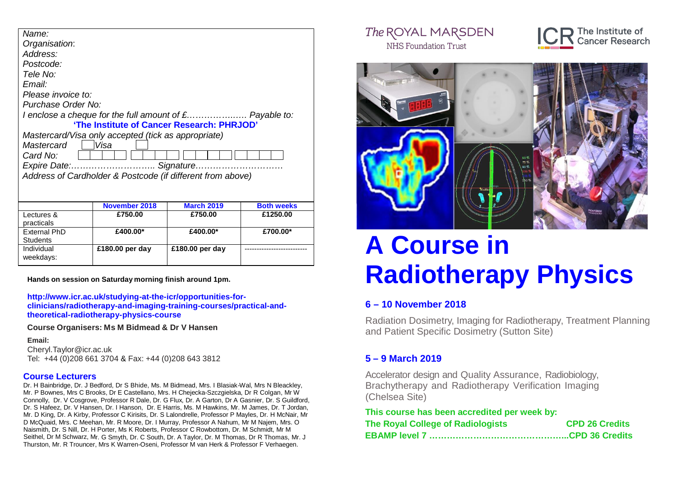| Name:                                                      |                 |                   |                   |
|------------------------------------------------------------|-----------------|-------------------|-------------------|
| Organisation:                                              |                 |                   |                   |
| Address:                                                   |                 |                   |                   |
| Postcode:                                                  |                 |                   |                   |
| Tele No:                                                   |                 |                   |                   |
| Email:                                                     |                 |                   |                   |
| Please invoice to:                                         |                 |                   |                   |
| Purchase Order No:                                         |                 |                   |                   |
|                                                            |                 |                   |                   |
| 'The Institute of Cancer Research: PHRJOD'                 |                 |                   |                   |
| Mastercard/Visa only accepted (tick as appropriate)        |                 |                   |                   |
| Visa<br>Mastercard                                         |                 |                   |                   |
| Card No:                                                   |                 |                   |                   |
| Expire Date: Signature                                     |                 |                   |                   |
| Address of Cardholder & Postcode (if different from above) |                 |                   |                   |
|                                                            |                 |                   |                   |
|                                                            |                 |                   |                   |
|                                                            | November 2018   | <b>March 2019</b> | <b>Both weeks</b> |
| Lectures &                                                 | £750.00         | £750.00           | £1250.00          |
| practicals                                                 |                 |                   |                   |
| <b>External PhD</b>                                        | £400.00*        | £400.00*          | £700.00*          |
| <b>Students</b>                                            |                 |                   |                   |
| Individual                                                 | £180.00 per day | £180.00 per day   |                   |
| weekdays:                                                  |                 |                   |                   |

**Hands on session on Saturday morning finish around 1pm.**

**[http://www.icr.ac.uk/studying-at-the-icr/opportunities-for](http://www.icr.ac.uk/studying-at-the-icr/opportunities-for-)clinicians/radiotherapy-and-imaging-training-courses/practical-andtheoretical-radiotherapy-physics-course**

**Course Organisers: Ms M Bidmead & Dr V Hansen**

**Email:** [Cheryl.Taylor@icr.ac.uk](mailto:Cheryl.Taylor@icr.ac.uk) Tel: +44 (0)208 661 3704 & Fax: +44 (0)208 643 3812

## **Course Lecturers**

Dr. H Bainbridge, Dr. J Bedford, Dr S Bhide, Ms. M Bidmead, Mrs. I Blasiak-Wal, Mrs N Bleackley, Mr. P Bownes, Mrs C Brooks, Dr E Castellano, Mrs. H Chejecka-Szczgielska, Dr R Colgan, Mr W Connolly, Dr. V Cosgrove, Professor R Dale, Dr. G Flux, Dr. A Garton, Dr A Gasnier, Dr. S Guildford, Dr. S Hafeez, Dr. V Hansen, Dr. I Hanson, Dr. E Harris, Ms. M Hawkins, Mr. M James, Dr. T Jordan, Mr. D King, Dr. A Kirby, Professor C Kirisits, Dr. S Lalondrelle, Professor P Mayles, Dr. H McNair, Mr D McQuaid, Mrs. C Meehan, Mr. R Moore, Dr. I Murray, Professor A Nahum, Mr M Najem, Mrs. O Naismith, Dr. S Nill, Dr. H Porter, Ms K Roberts, Professor C Rowbottom, Dr. M Schmidt, Mr M Seithel, Dr M Schwarz, Mr. G Smyth, Dr. C South, Dr. A Taylor, Dr. M Thomas, Dr R Thomas, Mr. J Thurston, Mr. R Trouncer, Mrs K Warren-Oseni, Professor M van Herk & Professor F Verhaegen.

# The ROYAL MARSDEN



NHS Foundation Trust



# **A Course in Radiotherapy Physics**

# **6 – 10 November 2018**

Radiation Dosimetry, Imaging for Radiotherapy, Treatment Planning and Patient Specific Dosimetry (Sutton Site)

# **5 – 9 March 2019**

Accelerator design and Quality Assurance, Radiobiology, Brachytherapy and Radiotherapy Verification Imaging (Chelsea Site)

**This course has been accredited per week by: The Royal College of Radiologists CPD 26 Credits EBAMP level 7 ………………………………………...CPD 36 Credits**